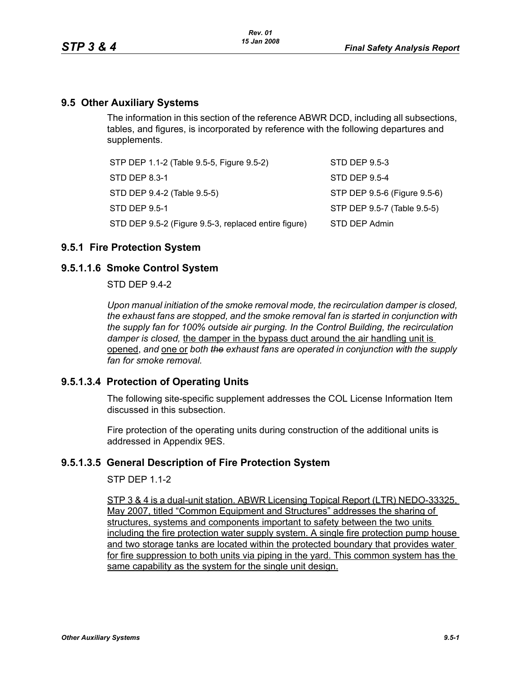## **9.5 Other Auxiliary Systems**

The information in this section of the reference ABWR DCD, including all subsections, tables, and figures, is incorporated by reference with the following departures and supplements.

| STP DEP 1.1-2 (Table 9.5-5, Figure 9.5-2)            | STD DEP 9.5-3                |
|------------------------------------------------------|------------------------------|
| STD DEP 8.3-1                                        | STD DEP 9.5-4                |
| STD DEP 9.4-2 (Table 9.5-5)                          | STP DEP 9.5-6 (Figure 9.5-6) |
| STD DEP 9.5-1                                        | STP DEP 9.5-7 (Table 9.5-5)  |
| STD DEP 9.5-2 (Figure 9.5-3, replaced entire figure) | STD DEP Admin                |

## **9.5.1 Fire Protection System**

## **9.5.1.1.6 Smoke Control System**

STD DEP 9.4-2

*Upon manual initiation of the smoke removal mode, the recirculation damper is closed, the exhaust fans are stopped, and the smoke removal fan is started in conjunction with the supply fan for 100% outside air purging. In the Control Building, the recirculation damper is closed,* the damper in the bypass duct around the air handling unit is opened, *and* one or *both the exhaust fans are operated in conjunction with the supply fan for smoke removal.*

## **9.5.1.3.4 Protection of Operating Units**

The following site-specific supplement addresses the COL License Information Item discussed in this subsection.

Fire protection of the operating units during construction of the additional units is addressed in Appendix 9ES.

## **9.5.1.3.5 General Description of Fire Protection System**

**STP DFP 11-2** 

STP 3 & 4 is a dual-unit station. ABWR Licensing Topical Report (LTR) NEDO-33325, May 2007, titled "Common Equipment and Structures" addresses the sharing of structures, systems and components important to safety between the two units including the fire protection water supply system. A single fire protection pump house and two storage tanks are located within the protected boundary that provides water for fire suppression to both units via piping in the yard. This common system has the same capability as the system for the single unit design.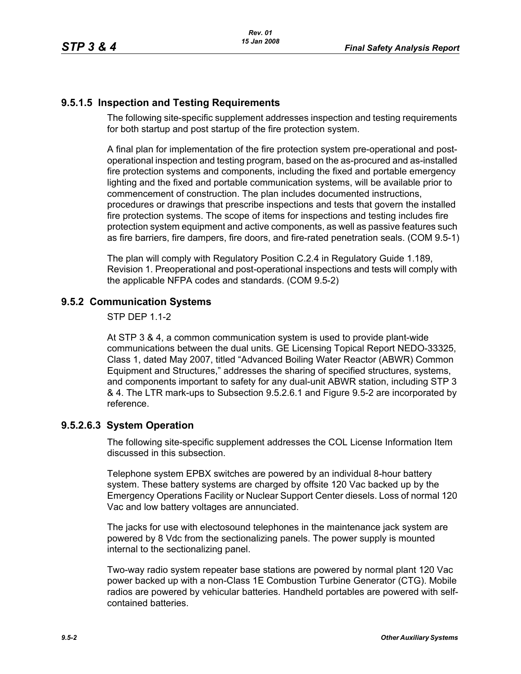# **9.5.1.5 Inspection and Testing Requirements**

The following site-specific supplement addresses inspection and testing requirements for both startup and post startup of the fire protection system.

A final plan for implementation of the fire protection system pre-operational and postoperational inspection and testing program, based on the as-procured and as-installed fire protection systems and components, including the fixed and portable emergency lighting and the fixed and portable communication systems, will be available prior to commencement of construction. The plan includes documented instructions, procedures or drawings that prescribe inspections and tests that govern the installed fire protection systems. The scope of items for inspections and testing includes fire protection system equipment and active components, as well as passive features such as fire barriers, fire dampers, fire doors, and fire-rated penetration seals. (COM 9.5-1)

The plan will comply with Regulatory Position C.2.4 in Regulatory Guide 1.189, Revision 1. Preoperational and post-operational inspections and tests will comply with the applicable NFPA codes and standards. (COM 9.5-2)

# **9.5.2 Communication Systems**

STP DEP 1.1-2

At STP 3 & 4, a common communication system is used to provide plant-wide communications between the dual units. GE Licensing Topical Report NEDO-33325, Class 1, dated May 2007, titled "Advanced Boiling Water Reactor (ABWR) Common Equipment and Structures," addresses the sharing of specified structures, systems, and components important to safety for any dual-unit ABWR station, including STP 3 & 4. The LTR mark-ups to Subsection 9.5.2.6.1 and Figure 9.5-2 are incorporated by reference.

# **9.5.2.6.3 System Operation**

The following site-specific supplement addresses the COL License Information Item discussed in this subsection.

Telephone system EPBX switches are powered by an individual 8-hour battery system. These battery systems are charged by offsite 120 Vac backed up by the Emergency Operations Facility or Nuclear Support Center diesels. Loss of normal 120 Vac and low battery voltages are annunciated.

The jacks for use with electosound telephones in the maintenance jack system are powered by 8 Vdc from the sectionalizing panels. The power supply is mounted internal to the sectionalizing panel.

Two-way radio system repeater base stations are powered by normal plant 120 Vac power backed up with a non-Class 1E Combustion Turbine Generator (CTG). Mobile radios are powered by vehicular batteries. Handheld portables are powered with selfcontained batteries.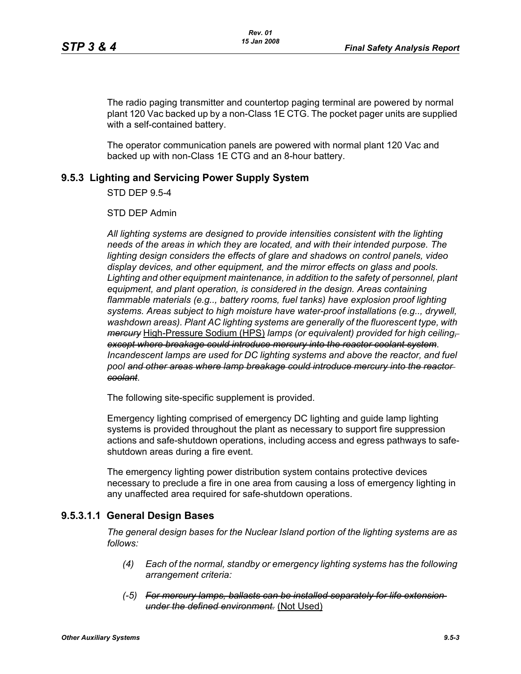The radio paging transmitter and countertop paging terminal are powered by normal plant 120 Vac backed up by a non-Class 1E CTG. The pocket pager units are supplied with a self-contained battery.

The operator communication panels are powered with normal plant 120 Vac and backed up with non-Class 1E CTG and an 8-hour battery.

# **9.5.3 Lighting and Servicing Power Supply System**

STD DEP 9.5-4

STD DEP Admin

*All lighting systems are designed to provide intensities consistent with the lighting needs of the areas in which they are located, and with their intended purpose. The lighting design considers the effects of glare and shadows on control panels, video display devices, and other equipment, and the mirror effects on glass and pools. Lighting and other equipment maintenance, in addition to the safety of personnel, plant equipment, and plant operation, is considered in the design. Areas containing*  flammable materials (e.g.., battery rooms, fuel tanks) have explosion proof lighting *systems. Areas subject to high moisture have water-proof installations (e.g.., drywell, washdown areas). Plant AC lighting systems are generally of the fluorescent type, with mercury* High-Pressure Sodium (HPS) *lamps (or equivalent) provided for high ceiling, except where breakage could introduce mercury into the reactor coolant system*. *Incandescent lamps are used for DC lighting systems and above the reactor, and fuel pool and other areas where lamp breakage could introduce mercury into the reactor coolant*.

The following site-specific supplement is provided.

Emergency lighting comprised of emergency DC lighting and guide lamp lighting systems is provided throughout the plant as necessary to support fire suppression actions and safe-shutdown operations, including access and egress pathways to safeshutdown areas during a fire event.

The emergency lighting power distribution system contains protective devices necessary to preclude a fire in one area from causing a loss of emergency lighting in any unaffected area required for safe-shutdown operations.

## **9.5.3.1.1 General Design Bases**

*The general design bases for the Nuclear Island portion of the lighting systems are as follows:*

- *(4) Each of the normal, standby or emergency lighting systems has the following arrangement criteria:*
- *(-5) For mercury lamps, ballasts can be installed separately for life extension under the defined environment.* (Not Used)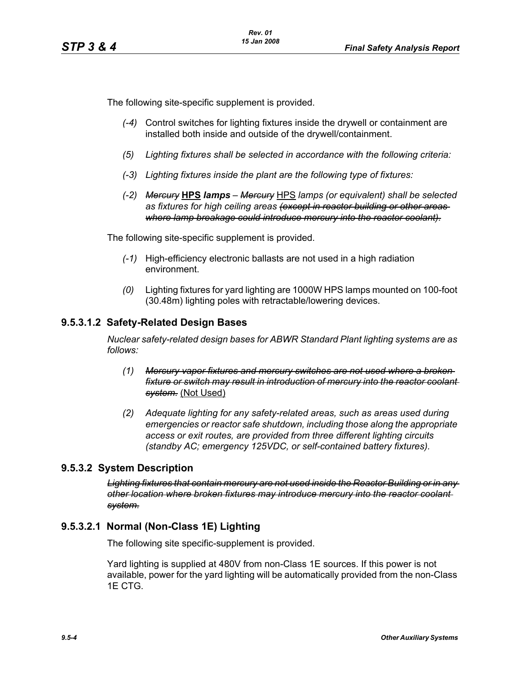The following site-specific supplement is provided.

- *(-4)* Control switches for lighting fixtures inside the drywell or containment are installed both inside and outside of the drywell/containment.
- *(5) Lighting fixtures shall be selected in accordance with the following criteria:*
- *(-3) Lighting fixtures inside the plant are the following type of fixtures:*
- *(-2) Mercury* **HPS** *lamps Mercury* HPS *lamps (or equivalent) shall be selected as fixtures for high ceiling areas (except in reactor building or other areas where lamp breakage could introduce mercury into the reactor coolant).*

The following site-specific supplement is provided.

- *(-1)* High-efficiency electronic ballasts are not used in a high radiation environment.
- *(0)* Lighting fixtures for yard lighting are 1000W HPS lamps mounted on 100-foot (30.48m) lighting poles with retractable/lowering devices.

## **9.5.3.1.2 Safety-Related Design Bases**

*Nuclear safety-related design bases for ABWR Standard Plant lighting systems are as follows:*

- *(1) Mercury vapor fixtures and mercury switches are not used where a broken fixture or switch may result in introduction of mercury into the reactor coolant system.* (Not Used)
- *(2) Adequate lighting for any safety-related areas, such as areas used during emergencies or reactor safe shutdown, including those along the appropriate access or exit routes, are provided from three different lighting circuits (standby AC; emergency 125VDC, or self-contained battery fixtures).*

## **9.5.3.2 System Description**

*Lighting fixtures that contain mercury are not used inside the Reactor Building or in any other location where broken fixtures may introduce mercury into the reactor coolant system.*

## **9.5.3.2.1 Normal (Non-Class 1E) Lighting**

The following site specific-supplement is provided.

Yard lighting is supplied at 480V from non-Class 1E sources. If this power is not available, power for the yard lighting will be automatically provided from the non-Class 1E CTG.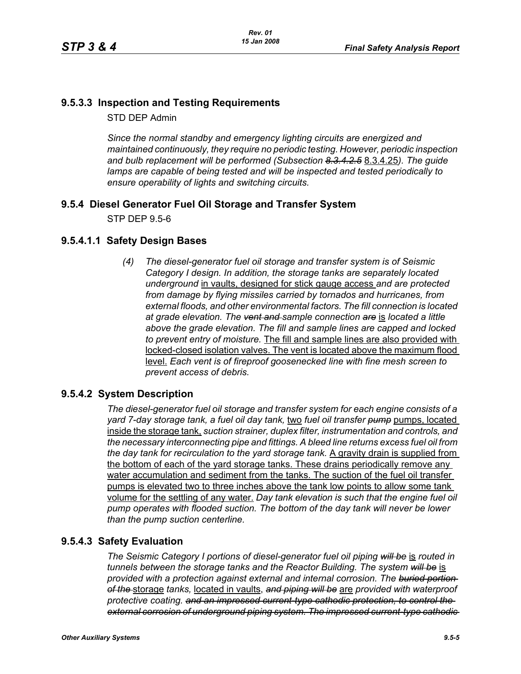# **9.5.3.3 Inspection and Testing Requirements**

STD DEP Admin

*Since the normal standby and emergency lighting circuits are energized and maintained continuously, they require no periodic testing. However, periodic inspection and bulb replacement will be performed (Subsection 8.3.4.2.5* 8.3.4.25*). The guide*  lamps are capable of being tested and will be inspected and tested periodically to *ensure operability of lights and switching circuits.*

# **9.5.4 Diesel Generator Fuel Oil Storage and Transfer System**

STP DEP 9.5-6

# **9.5.4.1.1 Safety Design Bases**

*(4) The diesel-generator fuel oil storage and transfer system is of Seismic Category I design. In addition, the storage tanks are separately located underground* in vaults, designed for stick gauge access *and are protected from damage by flying missiles carried by tornados and hurricanes, from external floods, and other environmental factors. The fill connection is located at grade elevation. The vent and sample connection are* is *located a little above the grade elevation. The fill and sample lines are capped and locked to prevent entry of moisture.* The fill and sample lines are also provided with locked-closed isolation valves. The vent is located above the maximum flood level. *Each vent is of fireproof goosenecked line with fine mesh screen to prevent access of debris.*

# **9.5.4.2 System Description**

*The diesel-generator fuel oil storage and transfer system for each engine consists of a yard 7-day storage tank, a fuel oil day tank,* two *fuel oil transfer pump* pumps, located inside the storage tank, *suction strainer, duplex filter, instrumentation and controls, and the necessary interconnecting pipe and fittings. A bleed line returns excess fuel oil from the day tank for recirculation to the yard storage tank.* A gravity drain is supplied from the bottom of each of the yard storage tanks. These drains periodically remove any water accumulation and sediment from the tanks. The suction of the fuel oil transfer pumps is elevated two to three inches above the tank low points to allow some tank volume for the settling of any water. *Day tank elevation is such that the engine fuel oil pump operates with flooded suction. The bottom of the day tank will never be lower than the pump suction centerline.*

# **9.5.4.3 Safety Evaluation**

*The Seismic Category I portions of diesel-generator fuel oil piping will be* is *routed in tunnels between the storage tanks and the Reactor Building. The system will be* is *provided with a protection against external and internal corrosion. The buried portion of the* storage *tanks,* located in vaults, *and piping will be* are *provided with waterproof protective coating. and an impressed current-type cathodic protection, to control the external corrosion of underground piping system. The impressed current-type cathodic*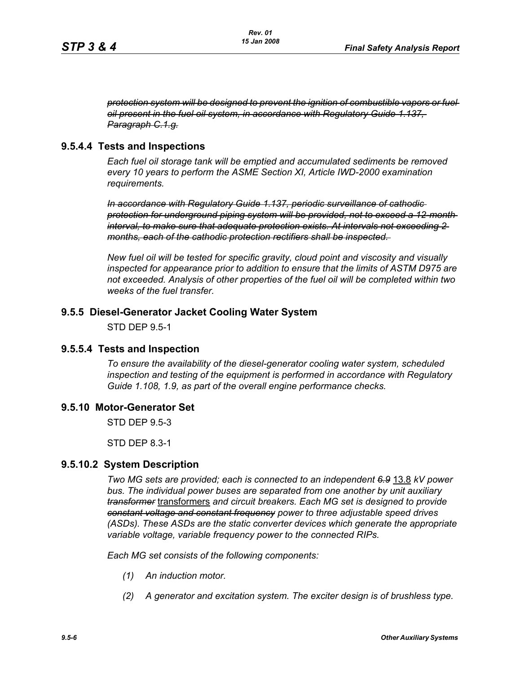*protection system will be designed to prevent the ignition of combustible vapors or fuel oil present in the fuel oil system, in accordance with Regulatory Guide 1.137, Paragraph C.1.g.*

## **9.5.4.4 Tests and Inspections**

*Each fuel oil storage tank will be emptied and accumulated sediments be removed every 10 years to perform the ASME Section XI, Article IWD-2000 examination requirements.*

*In accordance with Regulatory Guide 1.137, periodic surveillance of cathodic protection for underground piping system will be provided, not to exceed a 12-month interval, to make sure that adequate protection exists. At intervals not exceeding 2 months, each of the cathodic protection rectifiers shall be inspected.* 

*New fuel oil will be tested for specific gravity, cloud point and viscosity and visually inspected for appearance prior to addition to ensure that the limits of ASTM D975 are not exceeded. Analysis of other properties of the fuel oil will be completed within two weeks of the fuel transfer.*

## **9.5.5 Diesel-Generator Jacket Cooling Water System**

STD DEP 9.5-1

## **9.5.5.4 Tests and Inspection**

*To ensure the availability of the diesel-generator cooling water system, scheduled inspection and testing of the equipment is performed in accordance with Regulatory Guide 1.108, 1.9, as part of the overall engine performance checks.*

#### **9.5.10 Motor-Generator Set**

STD DEP 9.5-3

STD DEP 8.3-1

#### **9.5.10.2 System Description**

*Two MG sets are provided; each is connected to an independent 6.9* 13.8 *kV power bus. The individual power buses are separated from one another by unit auxiliary transformer* transformers *and circuit breakers. Each MG set is designed to provide constant voltage and constant frequency power to three adjustable speed drives (ASDs). These ASDs are the static converter devices which generate the appropriate variable voltage, variable frequency power to the connected RIPs.*

*Each MG set consists of the following components:*

- *(1) An induction motor.*
- *(2) A generator and excitation system. The exciter design is of brushless type.*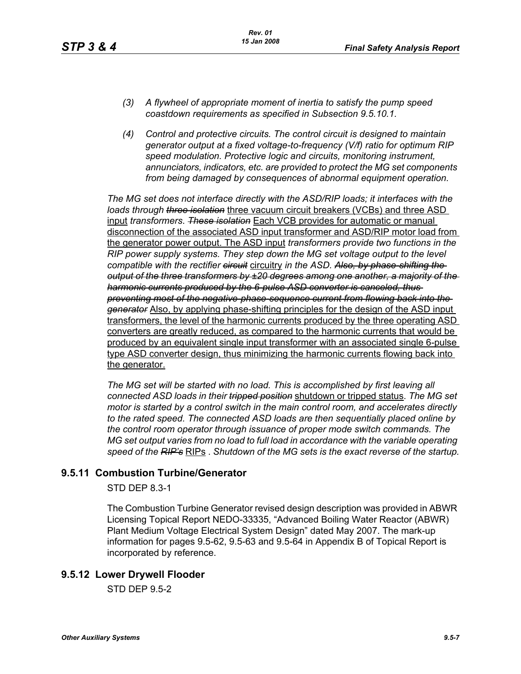- *(3) A flywheel of appropriate moment of inertia to satisfy the pump speed coastdown requirements as specified in Subsection 9.5.10.1.*
- *(4) Control and protective circuits. The control circuit is designed to maintain generator output at a fixed voltage-to-frequency (V/f) ratio for optimum RIP speed modulation. Protective logic and circuits, monitoring instrument, annunciators, indicators, etc. are provided to protect the MG set components from being damaged by consequences of abnormal equipment operation.*

*The MG set does not interface directly with the ASD/RIP loads; it interfaces with the loads through three isolation* three vacuum circuit breakers (VCBs) and three ASD input *transformers*. *These isolation* Each VCB provides for automatic or manual disconnection of the associated ASD input transformer and ASD/RIP motor load from the generator power output. The ASD input *transformers provide two functions in the RIP power supply systems. They step down the MG set voltage output to the level compatible with the rectifier circuit* circuitry *in the ASD. Also, by phase-shifting the output of the three transformers by ±20 degrees among one another, a majority of the harmonic currents produced by the 6-pulse ASD converter is canceled, thus preventing most of the negative-phase-sequence current from flowing back into the generator* Also, by applying phase-shifting principles for the design of the ASD input transformers, the level of the harmonic currents produced by the three operating ASD converters are greatly reduced, as compared to the harmonic currents that would be produced by an equivalent single input transformer with an associated single 6-pulse type ASD converter design, thus minimizing the harmonic currents flowing back into the generator.

*The MG set will be started with no load. This is accomplished by first leaving all connected ASD loads in their tripped position* shutdown or tripped status. *The MG set motor is started by a control switch in the main control room, and accelerates directly to the rated speed. The connected ASD loads are then sequentially placed online by the control room operator through issuance of proper mode switch commands. The MG set output varies from no load to full load in accordance with the variable operating speed of the RIP's* RIPs . *Shutdown of the MG sets is the exact reverse of the startup.*

## **9.5.11 Combustion Turbine/Generator**

STD DEP 8.3-1

The Combustion Turbine Generator revised design description was provided in ABWR Licensing Topical Report NEDO-33335, "Advanced Boiling Water Reactor (ABWR) Plant Medium Voltage Electrical System Design" dated May 2007. The mark-up information for pages 9.5-62, 9.5-63 and 9.5-64 in Appendix B of Topical Report is incorporated by reference.

## **9.5.12 Lower Drywell Flooder**

STD DEP 9.5-2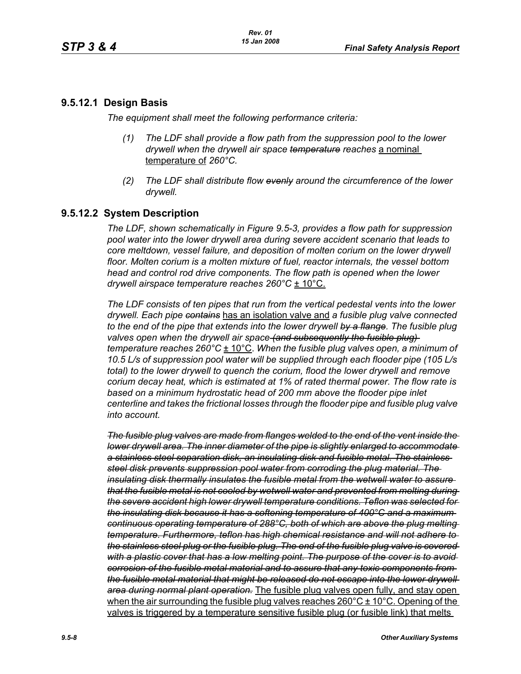## **9.5.12.1 Design Basis**

*The equipment shall meet the following performance criteria:*

- *(1) The LDF shall provide a flow path from the suppression pool to the lower drywell when the drywell air space temperature reaches* a nominal temperature of *260°C.*
- *(2) The LDF shall distribute flow evenly around the circumference of the lower drywell.*

# **9.5.12.2 System Description**

*The LDF, shown schematically in Figure 9.5-3, provides a flow path for suppression pool water into the lower drywell area during severe accident scenario that leads to core meltdown, vessel failure, and deposition of molten corium on the lower drywell* floor. Molten corium is a molten mixture of fuel, reactor internals, the vessel bottom *head and control rod drive components. The flow path is opened when the lower drywell airspace temperature reaches 260°C* ± 10°C.

*The LDF consists of ten pipes that run from the vertical pedestal vents into the lower drywell. Each pipe contains* has an isolation valve and *a fusible plug valve connected to the end of the pipe that extends into the lower drywell by a flange. The fusible plug valves open when the drywell air space (and subsequently the fusible plug) temperature reaches 260°C* ± 10°C. *When the fusible plug valves open, a minimum of 10.5 L/s of suppression pool water will be supplied through each flooder pipe (105 L/s total) to the lower drywell to quench the corium, flood the lower drywell and remove corium decay heat, which is estimated at 1% of rated thermal power. The flow rate is*  based on a minimum hydrostatic head of 200 mm above the flooder pipe inlet *centerline and takes the frictional losses through the flooder pipe and fusible plug valve into account.*

*The fusible plug valves are made from flanges welded to the end of the vent inside the lower drywell area. The inner diameter of the pipe is slightly enlarged to accommodate a stainless steel separation disk, an insulating disk and fusible metal. The stainless steel disk prevents suppression pool water from corroding the plug material. The insulating disk thermally insulates the fusible metal from the wetwell water to assure that the fusible metal is not cooled by wetwell water and prevented from melting during the severe accident high lower drywell temperature conditions. Teflon was selected for the insulating disk because it has a softening temperature of 400°C and a maximum continuous operating temperature of 288°C, both of which are above the plug melting temperature. Furthermore, teflon has high chemical resistance and will not adhere to the stainless steel plug or the fusible plug. The end of the fusible plug valve is covered*  with a plastic cover that has a low melting point. The purpose of the cover is to avoid*corrosion of the fusible metal material and to assure that any toxic components from the fusible metal material that might be released do not escape into the lower drywell area during normal plant operation.* The fusible plug valves open fully, and stay open when the air surrounding the fusible plug valves reaches  $260^{\circ}$ C  $\pm$  10°C. Opening of the valves is triggered by a temperature sensitive fusible plug (or fusible link) that melts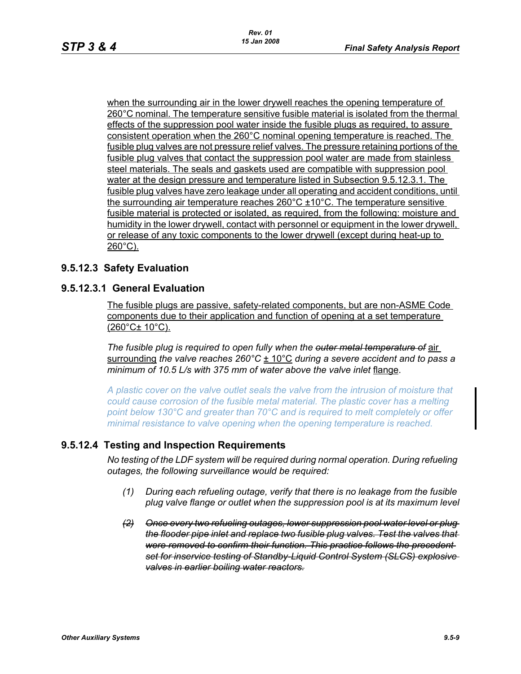when the surrounding air in the lower drywell reaches the opening temperature of 260°C nominal. The temperature sensitive fusible material is isolated from the thermal effects of the suppression pool water inside the fusible plugs as required, to assure consistent operation when the 260°C nominal opening temperature is reached. The fusible plug valves are not pressure relief valves. The pressure retaining portions of the fusible plug valves that contact the suppression pool water are made from stainless steel materials. The seals and gaskets used are compatible with suppression pool water at the design pressure and temperature listed in Subsection 9.5.12.3.1. The fusible plug valves have zero leakage under all operating and accident conditions, until the surrounding air temperature reaches 260°C ±10°C. The temperature sensitive fusible material is protected or isolated, as required, from the following: moisture and humidity in the lower drywell, contact with personnel or equipment in the lower drywell, or release of any toxic components to the lower drywell (except during heat-up to 260°C).

## **9.5.12.3 Safety Evaluation**

## **9.5.12.3.1 General Evaluation**

The fusible plugs are passive, safety-related components, but are non-ASME Code components due to their application and function of opening at a set temperature (260°C± 10°C).

*The fusible plug is required to open fully when the outer metal temperature of* air surrounding *the valve reaches 260°C* ± 10°C *during a severe accident and to pass a minimum of 10.5 L/s with 375 mm of water above the valve inlet* flange.

*A plastic cover on the valve outlet seals the valve from the intrusion of moisture that could cause corrosion of the fusible metal material. The plastic cover has a melting point below 130°C and greater than 70°C and is required to melt completely or offer minimal resistance to valve opening when the opening temperature is reached.*

# **9.5.12.4 Testing and Inspection Requirements**

*No testing of the LDF system will be required during normal operation. During refueling outages, the following surveillance would be required:*

- *(1) During each refueling outage, verify that there is no leakage from the fusible plug valve flange or outlet when the suppression pool is at its maximum level*
- *(2) Once every two refueling outages, lower suppression pool water level or plug the flooder pipe inlet and replace two fusible plug valves. Test the valves that were removed to confirm their function. This practice follows the precedent set for inservice testing of Standby-Liquid Control System (SLCS) explosive valves in earlier boiling water reactors.*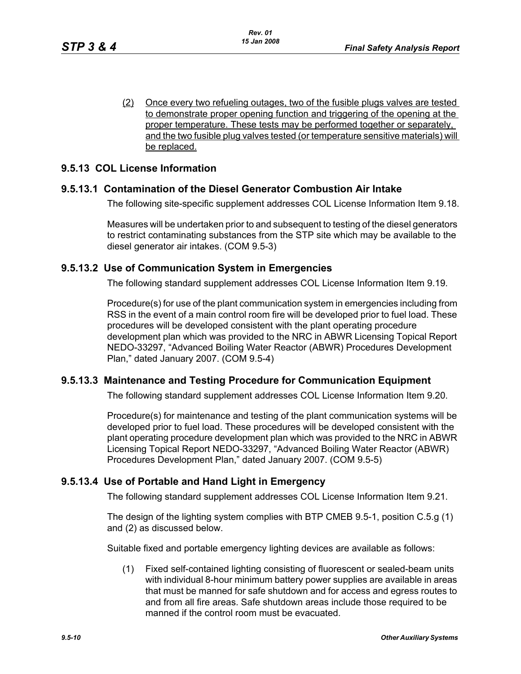(2) Once every two refueling outages, two of the fusible plugs valves are tested to demonstrate proper opening function and triggering of the opening at the proper temperature. These tests may be performed together or separately, and the two fusible plug valves tested (or temperature sensitive materials) will be replaced.

## **9.5.13 COL License Information**

## **9.5.13.1 Contamination of the Diesel Generator Combustion Air Intake**

The following site-specific supplement addresses COL License Information Item 9.18.

Measures will be undertaken prior to and subsequent to testing of the diesel generators to restrict contaminating substances from the STP site which may be available to the diesel generator air intakes. (COM 9.5-3)

## **9.5.13.2 Use of Communication System in Emergencies**

The following standard supplement addresses COL License Information Item 9.19.

Procedure(s) for use of the plant communication system in emergencies including from RSS in the event of a main control room fire will be developed prior to fuel load. These procedures will be developed consistent with the plant operating procedure development plan which was provided to the NRC in ABWR Licensing Topical Report NEDO-33297, "Advanced Boiling Water Reactor (ABWR) Procedures Development Plan," dated January 2007. (COM 9.5-4)

## **9.5.13.3 Maintenance and Testing Procedure for Communication Equipment**

The following standard supplement addresses COL License Information Item 9.20.

Procedure(s) for maintenance and testing of the plant communication systems will be developed prior to fuel load. These procedures will be developed consistent with the plant operating procedure development plan which was provided to the NRC in ABWR Licensing Topical Report NEDO-33297, "Advanced Boiling Water Reactor (ABWR) Procedures Development Plan," dated January 2007. (COM 9.5-5)

# **9.5.13.4 Use of Portable and Hand Light in Emergency**

The following standard supplement addresses COL License Information Item 9.21.

The design of the lighting system complies with BTP CMEB 9.5-1, position C.5.g (1) and (2) as discussed below.

Suitable fixed and portable emergency lighting devices are available as follows:

(1) Fixed self-contained lighting consisting of fluorescent or sealed-beam units with individual 8-hour minimum battery power supplies are available in areas that must be manned for safe shutdown and for access and egress routes to and from all fire areas. Safe shutdown areas include those required to be manned if the control room must be evacuated.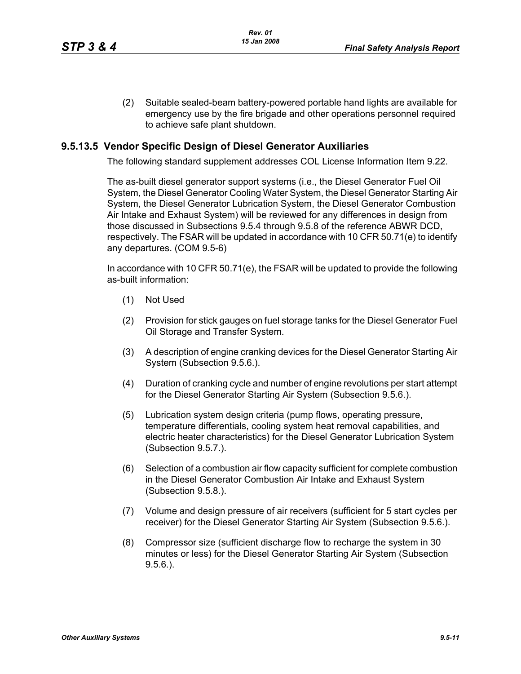(2) Suitable sealed-beam battery-powered portable hand lights are available for emergency use by the fire brigade and other operations personnel required to achieve safe plant shutdown.

## **9.5.13.5 Vendor Specific Design of Diesel Generator Auxiliaries**

The following standard supplement addresses COL License Information Item 9.22.

The as-built diesel generator support systems (i.e., the Diesel Generator Fuel Oil System, the Diesel Generator Cooling Water System, the Diesel Generator Starting Air System, the Diesel Generator Lubrication System, the Diesel Generator Combustion Air Intake and Exhaust System) will be reviewed for any differences in design from those discussed in Subsections 9.5.4 through 9.5.8 of the reference ABWR DCD, respectively. The FSAR will be updated in accordance with 10 CFR 50.71(e) to identify any departures. (COM 9.5-6)

In accordance with 10 CFR 50.71(e), the FSAR will be updated to provide the following as-built information:

- (1) Not Used
- (2) Provision for stick gauges on fuel storage tanks for the Diesel Generator Fuel Oil Storage and Transfer System.
- (3) A description of engine cranking devices for the Diesel Generator Starting Air System (Subsection 9.5.6.).
- (4) Duration of cranking cycle and number of engine revolutions per start attempt for the Diesel Generator Starting Air System (Subsection 9.5.6.).
- (5) Lubrication system design criteria (pump flows, operating pressure, temperature differentials, cooling system heat removal capabilities, and electric heater characteristics) for the Diesel Generator Lubrication System (Subsection 9.5.7.).
- (6) Selection of a combustion air flow capacity sufficient for complete combustion in the Diesel Generator Combustion Air Intake and Exhaust System (Subsection 9.5.8.).
- (7) Volume and design pressure of air receivers (sufficient for 5 start cycles per receiver) for the Diesel Generator Starting Air System (Subsection 9.5.6.).
- (8) Compressor size (sufficient discharge flow to recharge the system in 30 minutes or less) for the Diesel Generator Starting Air System (Subsection 9.5.6.).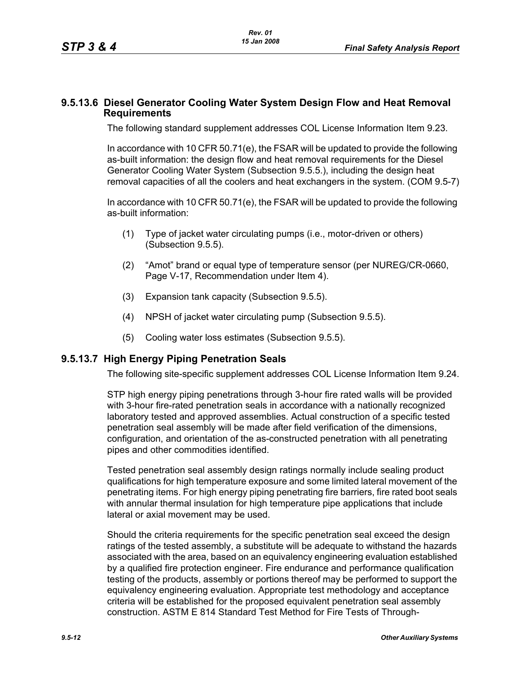#### **9.5.13.6 Diesel Generator Cooling Water System Design Flow and Heat Removal Requirements**

The following standard supplement addresses COL License Information Item 9.23.

In accordance with 10 CFR 50.71(e), the FSAR will be updated to provide the following as-built information: the design flow and heat removal requirements for the Diesel Generator Cooling Water System (Subsection 9.5.5.), including the design heat removal capacities of all the coolers and heat exchangers in the system. (COM 9.5-7)

In accordance with 10 CFR 50.71(e), the FSAR will be updated to provide the following as-built information:

- (1) Type of jacket water circulating pumps (i.e., motor-driven or others) (Subsection 9.5.5).
- (2) "Amot" brand or equal type of temperature sensor (per NUREG/CR-0660, Page V-17, Recommendation under Item 4).
- (3) Expansion tank capacity (Subsection 9.5.5).
- (4) NPSH of jacket water circulating pump (Subsection 9.5.5).
- (5) Cooling water loss estimates (Subsection 9.5.5).

## **9.5.13.7 High Energy Piping Penetration Seals**

The following site-specific supplement addresses COL License Information Item 9.24.

STP high energy piping penetrations through 3-hour fire rated walls will be provided with 3-hour fire-rated penetration seals in accordance with a nationally recognized laboratory tested and approved assemblies. Actual construction of a specific tested penetration seal assembly will be made after field verification of the dimensions, configuration, and orientation of the as-constructed penetration with all penetrating pipes and other commodities identified.

Tested penetration seal assembly design ratings normally include sealing product qualifications for high temperature exposure and some limited lateral movement of the penetrating items. For high energy piping penetrating fire barriers, fire rated boot seals with annular thermal insulation for high temperature pipe applications that include lateral or axial movement may be used.

Should the criteria requirements for the specific penetration seal exceed the design ratings of the tested assembly, a substitute will be adequate to withstand the hazards associated with the area, based on an equivalency engineering evaluation established by a qualified fire protection engineer. Fire endurance and performance qualification testing of the products, assembly or portions thereof may be performed to support the equivalency engineering evaluation. Appropriate test methodology and acceptance criteria will be established for the proposed equivalent penetration seal assembly construction. ASTM E 814 Standard Test Method for Fire Tests of Through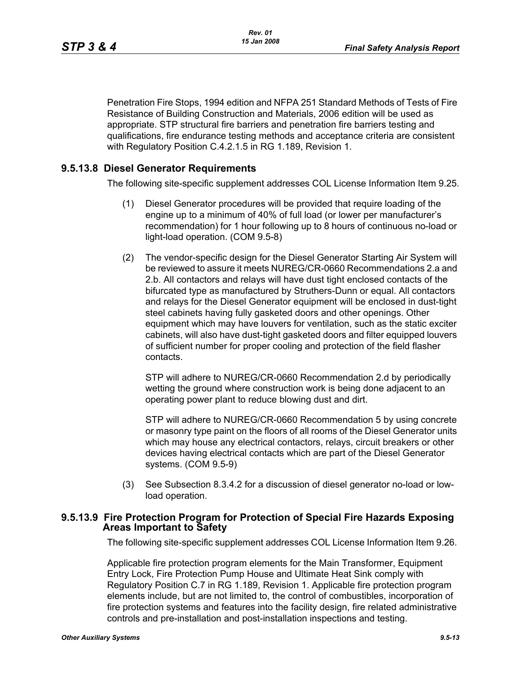Penetration Fire Stops, 1994 edition and NFPA 251 Standard Methods of Tests of Fire Resistance of Building Construction and Materials, 2006 edition will be used as appropriate. STP structural fire barriers and penetration fire barriers testing and qualifications, fire endurance testing methods and acceptance criteria are consistent with Regulatory Position C.4.2.1.5 in RG 1.189, Revision 1.

## **9.5.13.8 Diesel Generator Requirements**

The following site-specific supplement addresses COL License Information Item 9.25.

- (1) Diesel Generator procedures will be provided that require loading of the engine up to a minimum of 40% of full load (or lower per manufacturer's recommendation) for 1 hour following up to 8 hours of continuous no-load or light-load operation. (COM 9.5-8)
- (2) The vendor-specific design for the Diesel Generator Starting Air System will be reviewed to assure it meets NUREG/CR-0660 Recommendations 2.a and 2.b. All contactors and relays will have dust tight enclosed contacts of the bifurcated type as manufactured by Struthers-Dunn or equal. All contactors and relays for the Diesel Generator equipment will be enclosed in dust-tight steel cabinets having fully gasketed doors and other openings. Other equipment which may have louvers for ventilation, such as the static exciter cabinets, will also have dust-tight gasketed doors and filter equipped louvers of sufficient number for proper cooling and protection of the field flasher contacts.

STP will adhere to NUREG/CR-0660 Recommendation 2.d by periodically wetting the ground where construction work is being done adjacent to an operating power plant to reduce blowing dust and dirt.

STP will adhere to NUREG/CR-0660 Recommendation 5 by using concrete or masonry type paint on the floors of all rooms of the Diesel Generator units which may house any electrical contactors, relays, circuit breakers or other devices having electrical contacts which are part of the Diesel Generator systems. (COM 9.5-9)

(3) See Subsection 8.3.4.2 for a discussion of diesel generator no-load or lowload operation.

## **9.5.13.9 Fire Protection Program for Protection of Special Fire Hazards Exposing Areas Important to Safety**

The following site-specific supplement addresses COL License Information Item 9.26.

Applicable fire protection program elements for the Main Transformer, Equipment Entry Lock, Fire Protection Pump House and Ultimate Heat Sink comply with Regulatory Position C.7 in RG 1.189, Revision 1. Applicable fire protection program elements include, but are not limited to, the control of combustibles, incorporation of fire protection systems and features into the facility design, fire related administrative controls and pre-installation and post-installation inspections and testing.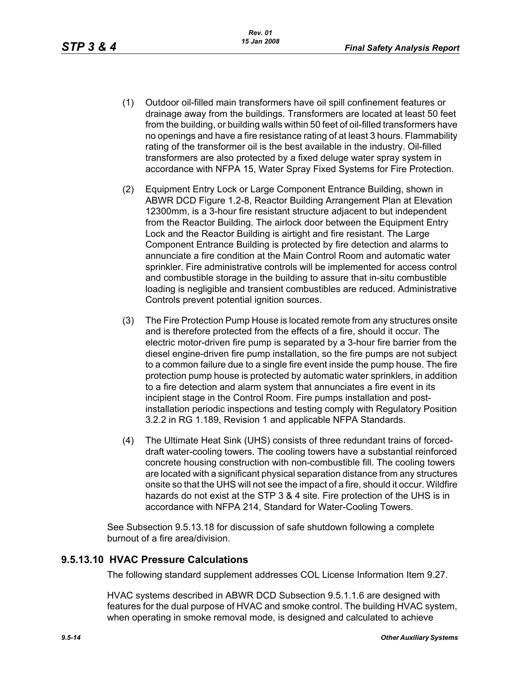- (1) Outdoor oil-filled main transformers have oil spill confinement features or drainage away from the buildings. Transformers are located at least 50 feet from the building, or building walls within 50 feet of oil-filled transformers have no openings and have a fire resistance rating of at least 3 hours. Flammability rating of the transformer oil is the best available in the industry. Oil-filled transformers are also protected by a fixed deluge water spray system in accordance with NFPA 15, Water Spray Fixed Systems for Fire Protection.
- (2) Equipment Entry Lock or Large Component Entrance Building, shown in ABWR DCD Figure 1.2-8, Reactor Building Arrangement Plan at Elevation 12300mm, is a 3-hour fire resistant structure adjacent to but independent from the Reactor Building. The airlock door between the Equipment Entry Lock and the Reactor Building is airtight and fire resistant. The Large Component Entrance Building is protected by fire detection and alarms to annunciate a fire condition at the Main Control Room and automatic water sprinkler. Fire administrative controls will be implemented for access control and combustible storage in the building to assure that in-situ combustible loading is negligible and transient combustibles are reduced. Administrative Controls prevent potential ignition sources.
- (3) The Fire Protection Pump House is located remote from any structures onsite and is therefore protected from the effects of a fire, should it occur. The electric motor-driven fire pump is separated by a 3-hour fire barrier from the diesel engine-driven fire pump installation, so the fire pumps are not subject to a common failure due to a single fire event inside the pump house. The fire protection pump house is protected by automatic water sprinklers, in addition to a fire detection and alarm system that annunciates a fire event in its incipient stage in the Control Room. Fire pumps installation and postinstallation periodic inspections and testing comply with Regulatory Position 3.2.2 in RG 1.189, Revision 1 and applicable NFPA Standards.
- (4) The Ultimate Heat Sink (UHS) consists of three redundant trains of forceddraft water-cooling towers. The cooling towers have a substantial reinforced concrete housing construction with non-combustible fill. The cooling towers are located with a significant physical separation distance from any structures onsite so that the UHS will not see the impact of a fire, should it occur. Wildfire hazards do not exist at the STP 3 & 4 site. Fire protection of the UHS is in accordance with NFPA 214, Standard for Water-Cooling Towers.

See Subsection 9.5.13.18 for discussion of safe shutdown following a complete burnout of a fire area/division.

## **9.5.13.10 HVAC Pressure Calculations**

The following standard supplement addresses COL License Information Item 9.27.

HVAC systems described in ABWR DCD Subsection 9.5.1.1.6 are designed with features for the dual purpose of HVAC and smoke control. The building HVAC system, when operating in smoke removal mode, is designed and calculated to achieve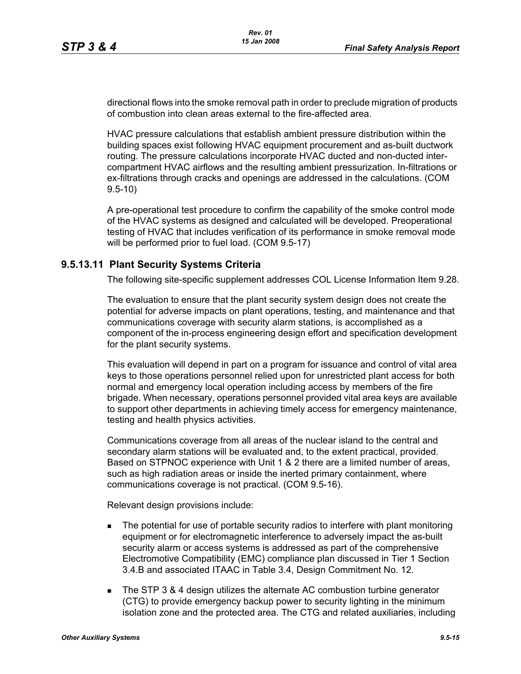directional flows into the smoke removal path in order to preclude migration of products of combustion into clean areas external to the fire-affected area.

HVAC pressure calculations that establish ambient pressure distribution within the building spaces exist following HVAC equipment procurement and as-built ductwork routing. The pressure calculations incorporate HVAC ducted and non-ducted intercompartment HVAC airflows and the resulting ambient pressurization. In-filtrations or ex-filtrations through cracks and openings are addressed in the calculations. (COM 9.5-10)

A pre-operational test procedure to confirm the capability of the smoke control mode of the HVAC systems as designed and calculated will be developed. Preoperational testing of HVAC that includes verification of its performance in smoke removal mode will be performed prior to fuel load. (COM 9.5-17)

## **9.5.13.11 Plant Security Systems Criteria**

The following site-specific supplement addresses COL License Information Item 9.28.

The evaluation to ensure that the plant security system design does not create the potential for adverse impacts on plant operations, testing, and maintenance and that communications coverage with security alarm stations, is accomplished as a component of the in-process engineering design effort and specification development for the plant security systems.

This evaluation will depend in part on a program for issuance and control of vital area keys to those operations personnel relied upon for unrestricted plant access for both normal and emergency local operation including access by members of the fire brigade. When necessary, operations personnel provided vital area keys are available to support other departments in achieving timely access for emergency maintenance, testing and health physics activities.

Communications coverage from all areas of the nuclear island to the central and secondary alarm stations will be evaluated and, to the extent practical, provided. Based on STPNOC experience with Unit 1 & 2 there are a limited number of areas, such as high radiation areas or inside the inerted primary containment, where communications coverage is not practical. (COM 9.5-16).

Relevant design provisions include:

- The potential for use of portable security radios to interfere with plant monitoring equipment or for electromagnetic interference to adversely impact the as-built security alarm or access systems is addressed as part of the comprehensive Electromotive Compatibility (EMC) compliance plan discussed in Tier 1 Section 3.4.B and associated ITAAC in Table 3.4, Design Commitment No. 12.
- The STP 3 & 4 design utilizes the alternate AC combustion turbine generator (CTG) to provide emergency backup power to security lighting in the minimum isolation zone and the protected area. The CTG and related auxiliaries, including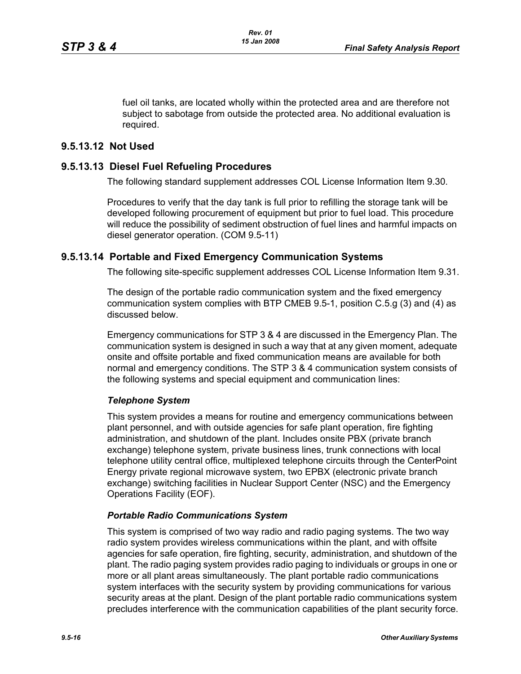fuel oil tanks, are located wholly within the protected area and are therefore not subject to sabotage from outside the protected area. No additional evaluation is required.

## **9.5.13.12 Not Used**

## **9.5.13.13 Diesel Fuel Refueling Procedures**

The following standard supplement addresses COL License Information Item 9.30.

Procedures to verify that the day tank is full prior to refilling the storage tank will be developed following procurement of equipment but prior to fuel load. This procedure will reduce the possibility of sediment obstruction of fuel lines and harmful impacts on diesel generator operation. (COM 9.5-11)

## **9.5.13.14 Portable and Fixed Emergency Communication Systems**

The following site-specific supplement addresses COL License Information Item 9.31.

The design of the portable radio communication system and the fixed emergency communication system complies with BTP CMEB 9.5-1, position C.5.g (3) and (4) as discussed below.

Emergency communications for STP 3 & 4 are discussed in the Emergency Plan. The communication system is designed in such a way that at any given moment, adequate onsite and offsite portable and fixed communication means are available for both normal and emergency conditions. The STP 3 & 4 communication system consists of the following systems and special equipment and communication lines:

## *Telephone System*

This system provides a means for routine and emergency communications between plant personnel, and with outside agencies for safe plant operation, fire fighting administration, and shutdown of the plant. Includes onsite PBX (private branch exchange) telephone system, private business lines, trunk connections with local telephone utility central office, multiplexed telephone circuits through the CenterPoint Energy private regional microwave system, two EPBX (electronic private branch exchange) switching facilities in Nuclear Support Center (NSC) and the Emergency Operations Facility (EOF).

## *Portable Radio Communications System*

This system is comprised of two way radio and radio paging systems. The two way radio system provides wireless communications within the plant, and with offsite agencies for safe operation, fire fighting, security, administration, and shutdown of the plant. The radio paging system provides radio paging to individuals or groups in one or more or all plant areas simultaneously. The plant portable radio communications system interfaces with the security system by providing communications for various security areas at the plant. Design of the plant portable radio communications system precludes interference with the communication capabilities of the plant security force.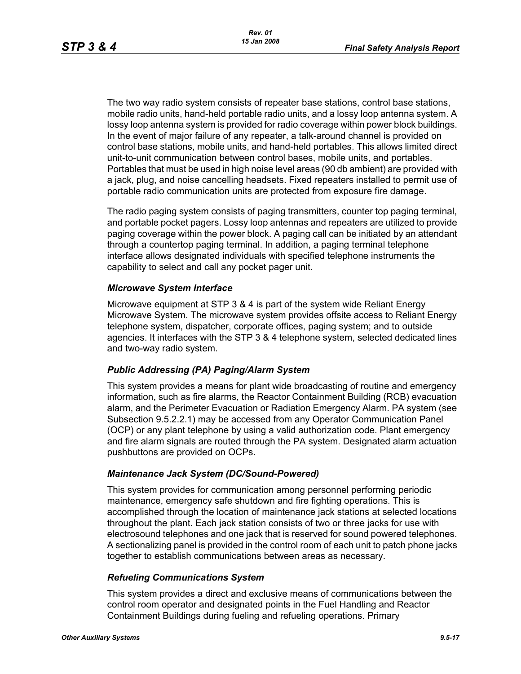The two way radio system consists of repeater base stations, control base stations, mobile radio units, hand-held portable radio units, and a lossy loop antenna system. A lossy loop antenna system is provided for radio coverage within power block buildings. In the event of major failure of any repeater, a talk-around channel is provided on control base stations, mobile units, and hand-held portables. This allows limited direct unit-to-unit communication between control bases, mobile units, and portables. Portables that must be used in high noise level areas (90 db ambient) are provided with a jack, plug, and noise cancelling headsets. Fixed repeaters installed to permit use of portable radio communication units are protected from exposure fire damage.

The radio paging system consists of paging transmitters, counter top paging terminal, and portable pocket pagers. Lossy loop antennas and repeaters are utilized to provide paging coverage within the power block. A paging call can be initiated by an attendant through a countertop paging terminal. In addition, a paging terminal telephone interface allows designated individuals with specified telephone instruments the capability to select and call any pocket pager unit.

#### *Microwave System Interface*

Microwave equipment at STP 3 & 4 is part of the system wide Reliant Energy Microwave System. The microwave system provides offsite access to Reliant Energy telephone system, dispatcher, corporate offices, paging system; and to outside agencies. It interfaces with the STP 3 & 4 telephone system, selected dedicated lines and two-way radio system.

#### *Public Addressing (PA) Paging/Alarm System*

This system provides a means for plant wide broadcasting of routine and emergency information, such as fire alarms, the Reactor Containment Building (RCB) evacuation alarm, and the Perimeter Evacuation or Radiation Emergency Alarm. PA system (see Subsection 9.5.2.2.1) may be accessed from any Operator Communication Panel (OCP) or any plant telephone by using a valid authorization code. Plant emergency and fire alarm signals are routed through the PA system. Designated alarm actuation pushbuttons are provided on OCPs.

#### *Maintenance Jack System (DC/Sound-Powered)*

This system provides for communication among personnel performing periodic maintenance, emergency safe shutdown and fire fighting operations. This is accomplished through the location of maintenance jack stations at selected locations throughout the plant. Each jack station consists of two or three jacks for use with electrosound telephones and one jack that is reserved for sound powered telephones. A sectionalizing panel is provided in the control room of each unit to patch phone jacks together to establish communications between areas as necessary.

#### *Refueling Communications System*

This system provides a direct and exclusive means of communications between the control room operator and designated points in the Fuel Handling and Reactor Containment Buildings during fueling and refueling operations. Primary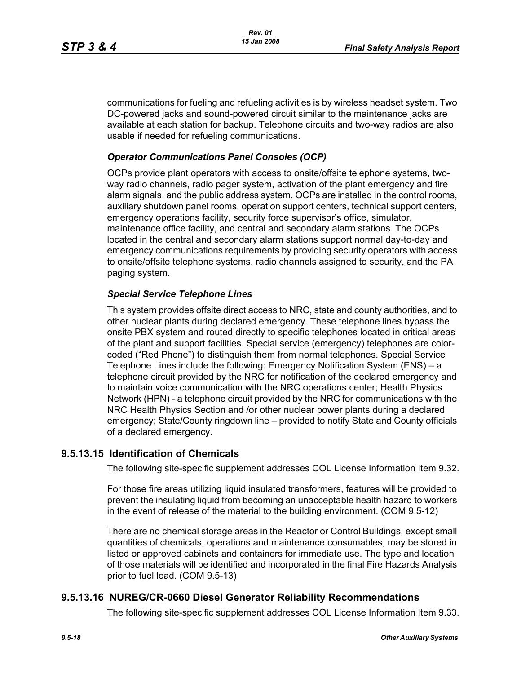communications for fueling and refueling activities is by wireless headset system. Two DC-powered jacks and sound-powered circuit similar to the maintenance jacks are available at each station for backup. Telephone circuits and two-way radios are also usable if needed for refueling communications.

## *Operator Communications Panel Consoles (OCP)*

OCPs provide plant operators with access to onsite/offsite telephone systems, twoway radio channels, radio pager system, activation of the plant emergency and fire alarm signals, and the public address system. OCPs are installed in the control rooms, auxiliary shutdown panel rooms, operation support centers, technical support centers, emergency operations facility, security force supervisor's office, simulator, maintenance office facility, and central and secondary alarm stations. The OCPs located in the central and secondary alarm stations support normal day-to-day and emergency communications requirements by providing security operators with access to onsite/offsite telephone systems, radio channels assigned to security, and the PA paging system.

## *Special Service Telephone Lines*

This system provides offsite direct access to NRC, state and county authorities, and to other nuclear plants during declared emergency. These telephone lines bypass the onsite PBX system and routed directly to specific telephones located in critical areas of the plant and support facilities. Special service (emergency) telephones are colorcoded ("Red Phone") to distinguish them from normal telephones. Special Service Telephone Lines include the following: Emergency Notification System (ENS) – a telephone circuit provided by the NRC for notification of the declared emergency and to maintain voice communication with the NRC operations center; Health Physics Network (HPN) - a telephone circuit provided by the NRC for communications with the NRC Health Physics Section and /or other nuclear power plants during a declared emergency; State/County ringdown line – provided to notify State and County officials of a declared emergency.

# **9.5.13.15 Identification of Chemicals**

The following site-specific supplement addresses COL License Information Item 9.32.

For those fire areas utilizing liquid insulated transformers, features will be provided to prevent the insulating liquid from becoming an unacceptable health hazard to workers in the event of release of the material to the building environment. (COM 9.5-12)

There are no chemical storage areas in the Reactor or Control Buildings, except small quantities of chemicals, operations and maintenance consumables, may be stored in listed or approved cabinets and containers for immediate use. The type and location of those materials will be identified and incorporated in the final Fire Hazards Analysis prior to fuel load. (COM 9.5-13)

# **9.5.13.16 NUREG/CR-0660 Diesel Generator Reliability Recommendations**

The following site-specific supplement addresses COL License Information Item 9.33.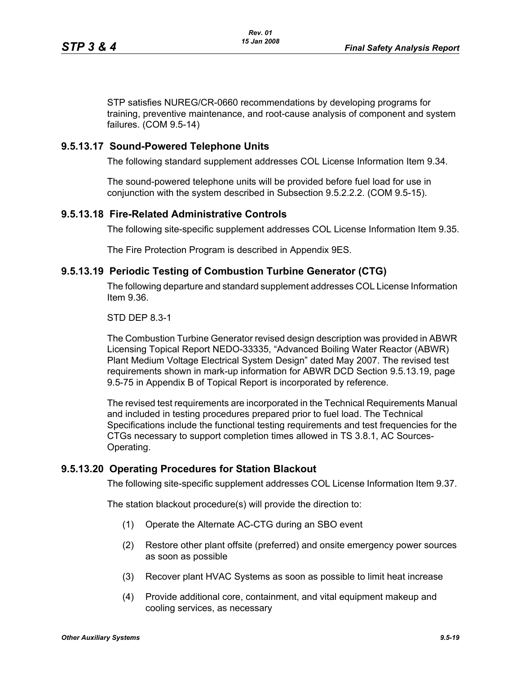STP satisfies NUREG/CR-0660 recommendations by developing programs for training, preventive maintenance, and root-cause analysis of component and system failures. (COM 9.5-14)

#### **9.5.13.17 Sound-Powered Telephone Units**

The following standard supplement addresses COL License Information Item 9.34.

The sound-powered telephone units will be provided before fuel load for use in conjunction with the system described in Subsection 9.5.2.2.2. (COM 9.5-15).

#### **9.5.13.18 Fire-Related Administrative Controls**

The following site-specific supplement addresses COL License Information Item 9.35.

The Fire Protection Program is described in Appendix 9ES.

#### **9.5.13.19 Periodic Testing of Combustion Turbine Generator (CTG)**

The following departure and standard supplement addresses COL License Information Item 9.36.

#### STD DEP 8.3-1

The Combustion Turbine Generator revised design description was provided in ABWR Licensing Topical Report NEDO-33335, "Advanced Boiling Water Reactor (ABWR) Plant Medium Voltage Electrical System Design" dated May 2007. The revised test requirements shown in mark-up information for ABWR DCD Section 9.5.13.19, page 9.5-75 in Appendix B of Topical Report is incorporated by reference.

The revised test requirements are incorporated in the Technical Requirements Manual and included in testing procedures prepared prior to fuel load. The Technical Specifications include the functional testing requirements and test frequencies for the CTGs necessary to support completion times allowed in TS 3.8.1, AC Sources-Operating.

## **9.5.13.20 Operating Procedures for Station Blackout**

The following site-specific supplement addresses COL License Information Item 9.37.

The station blackout procedure(s) will provide the direction to:

- (1) Operate the Alternate AC-CTG during an SBO event
- (2) Restore other plant offsite (preferred) and onsite emergency power sources as soon as possible
- (3) Recover plant HVAC Systems as soon as possible to limit heat increase
- (4) Provide additional core, containment, and vital equipment makeup and cooling services, as necessary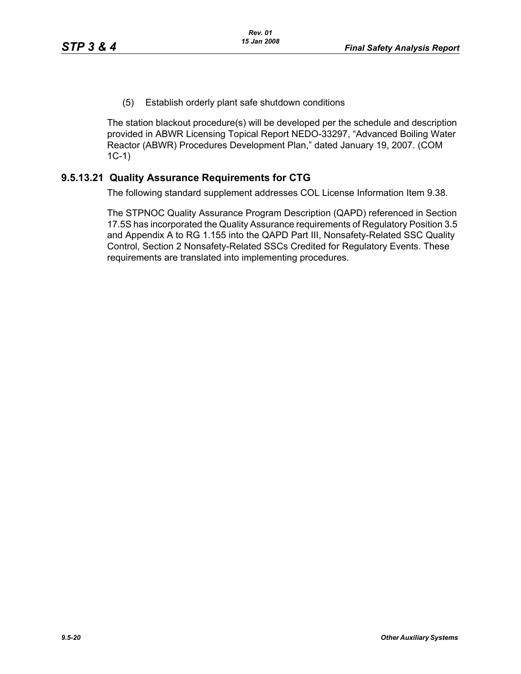(5) Establish orderly plant safe shutdown conditions

The station blackout procedure(s) will be developed per the schedule and description provided in ABWR Licensing Topical Report NEDO-33297, "Advanced Boiling Water Reactor (ABWR) Procedures Development Plan," dated January 19, 2007. (COM 1C-1)

# **9.5.13.21 Quality Assurance Requirements for CTG**

The following standard supplement addresses COL License Information Item 9.38.

The STPNOC Quality Assurance Program Description (QAPD) referenced in Section 17.5S has incorporated the Quality Assurance requirements of Regulatory Position 3.5 and Appendix A to RG 1.155 into the QAPD Part III, Nonsafety-Related SSC Quality Control, Section 2 Nonsafety-Related SSCs Credited for Regulatory Events. These requirements are translated into implementing procedures.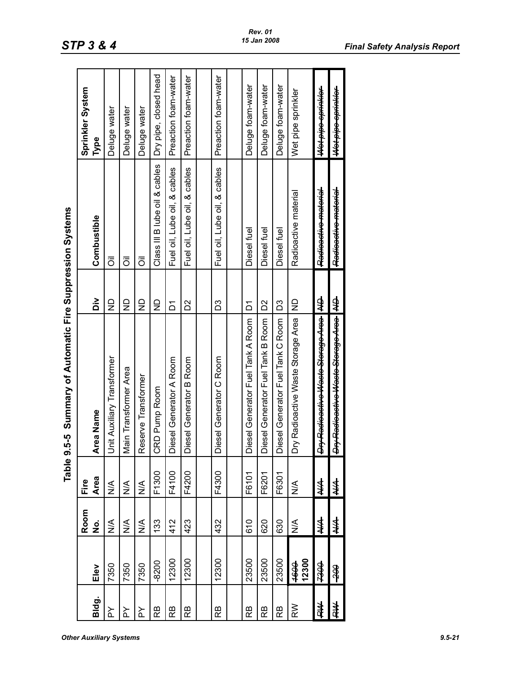|       |                      |                         | Table                            | 9.5-5 Summary of Automatic Fire Suppression Systems |                |                               |                       |
|-------|----------------------|-------------------------|----------------------------------|-----------------------------------------------------|----------------|-------------------------------|-----------------------|
|       |                      | Room                    | Fire                             |                                                     |                |                               | Sprinkler System      |
| Bldg. | Elev                 | ġ                       | Area                             | Area Name                                           | òi             | Combustible                   | Type                  |
| ≿     | 7350                 | $\frac{1}{2}$           | $\stackrel{\triangleleft}{\geq}$ | Unit Auxiliary Transformer                          | $\overline{z}$ | $\bar{5}$                     | Deluge water          |
| ≿     | 7350                 | $\frac{1}{2}$           | $\leq$                           | Main Transformer Area                               | $\mathsf{S}$   | $\bar{\bar{\circ}}$           | Deluge water          |
| ≿     | 7350                 | ⋚                       | $\stackrel{\triangle}{\geq}$     | Reserve Transformer                                 | $\mathsf{S}$   | ō                             | Deluge water          |
| ВS    | 8200                 | 133                     | F1300                            | CRD Pump Room                                       | g              | Class III B lube oil & cables | Dry pipe, closed head |
| RB    | 12300                | 412                     | F4100                            | Diesel Generator A Room                             | Σ              | Fuel oil, Lube oil, & cables  | Preaction foam-water  |
| ВS    | 12300                | 423                     | F4200                            | Diesel Generator B Room                             | ΣS             | Fuel oil, Lube oil, & cables  | Preaction foam-water  |
|       |                      |                         |                                  |                                                     |                |                               |                       |
| ВS    | 12300                | 432                     | F4300                            | Diesel Generator C Room                             | D3             | Fuel oil, Lube oil, & cables  | Preaction foam-water  |
|       |                      |                         |                                  |                                                     |                |                               |                       |
| Вă    | 23500                | 610                     | F6101                            | Diesel Generator Fuel Tank A Room                   | δ              | Diesel fuel                   | Deluge foam-water     |
| RВ    | 23500                | 620                     | F6201                            | Diesel Generator Fuel Tank B Room                   | δ              | Diesel fuel                   | Deluge foam-water     |
| RB    | 23500                | 630                     | F6301                            | Diesel Generator Fuel Tank C Room                   | ΣS             | Diesel fuel                   | Deluge foam-water     |
| RW    | 12300<br><b>1600</b> | $\stackrel{\leq}{\geq}$ | $\frac{1}{2}$                    | Dry Radioactive Waste Storage Area                  | $\frac{1}{2}$  | Radioactive material          | Wet pipe sprinkler    |
| 转     | <del>00ez</del>      | ≸                       | ≸                                | Dry Radioactive Waste Storage Area                  | ⋬              | Radioactive material          | Wet pipe sprinkler    |
| 蚌     | ₩                    | ≸                       | ≸                                | Dry Radioactive Waste Storage Area   AD             |                | Radioactive material          | Wet pipe sprinkler    |

*Rev. 01 15 Jan 2008*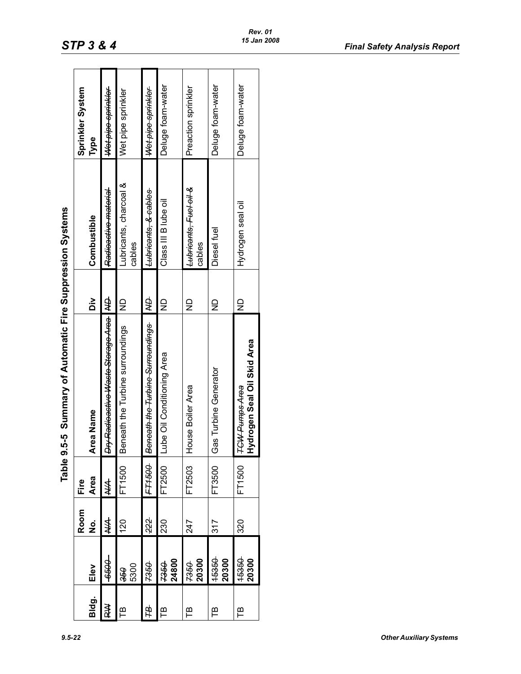| ۰,<br>۰. |
|----------|
|----------|

|       |                |           |               | Table 9.5-5 Summary of Automatic Fire Suppression Systems |                         |                                  |                          |  |
|-------|----------------|-----------|---------------|-----------------------------------------------------------|-------------------------|----------------------------------|--------------------------|--|
| Bldg. | Elev           | Room<br>ġ | Area<br>Fire  | Area Name                                                 | $\frac{8}{10}$          | Combustible                      | Sprinkler System<br>Type |  |
| ≹     | -999-          | ₩         | $\frac{1}{2}$ | Dry Radioactive Waste Storage Area   ND                   |                         | Radioactive material             | Wet pipe sprinkler       |  |
| 巴     | 5300<br>350    | 120       | FT1500        | Beneath the Turbine surroundings                          | $\frac{\Omega}{\Sigma}$ | Lubricants, charcoal &<br>cables | Wet pipe sprinkler       |  |
| Щ     | 7350           | 222       | <b>FT1500</b> | Beneath the Turbine Surroundings                          | ₿                       | Lubricants, & cables             | Wet pipe sprinkler       |  |
| 巴     | 24800<br>7350  | 230       | FT2500        | be Oil Conditioning Area<br>∃                             | $\overline{z}$          | Class III B lube oil             | Deluge foam-water        |  |
| Έ     | 20300<br>7350  | 247       | FT2503        | House Boiler Area                                         | $\mathsf{P}$            | Lubricants, Fuel oil &<br>cables | Preaction sprinkler      |  |
| ₽     | 15350<br>20300 | 317       | FT3500        | Gas Turbine Generator                                     | $\mathsf{P}$            | Diesel fuel                      | Deluge foam-water        |  |
| Έ     | 15350<br>20300 | 320       | FT1500        | Hydrogen Seal Oil Skid Area<br><b>TGW-Pumps-Area</b>      | $\supseteq$             | Hydrogen seal oil                | Deluge foam-water        |  |